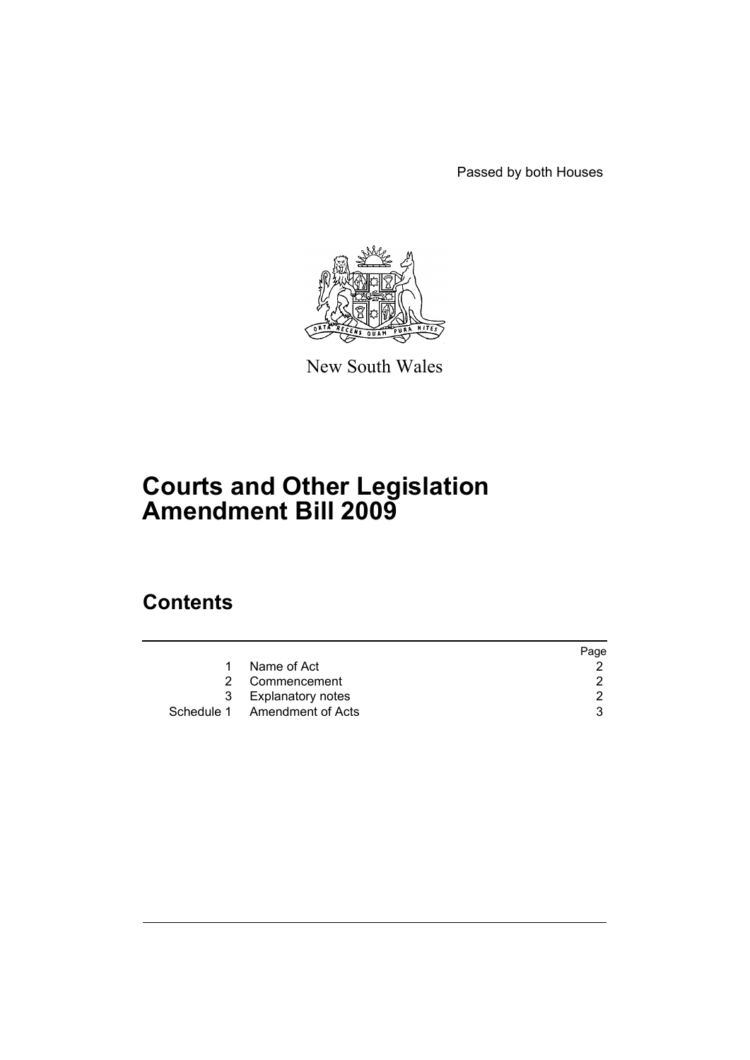Passed by both Houses



New South Wales

# **Courts and Other Legislation Amendment Bill 2009**

# **Contents**

|                              | Page |
|------------------------------|------|
| Name of Act                  |      |
| 2 Commencement               |      |
| 3 Explanatory notes          | 2    |
| Schedule 1 Amendment of Acts |      |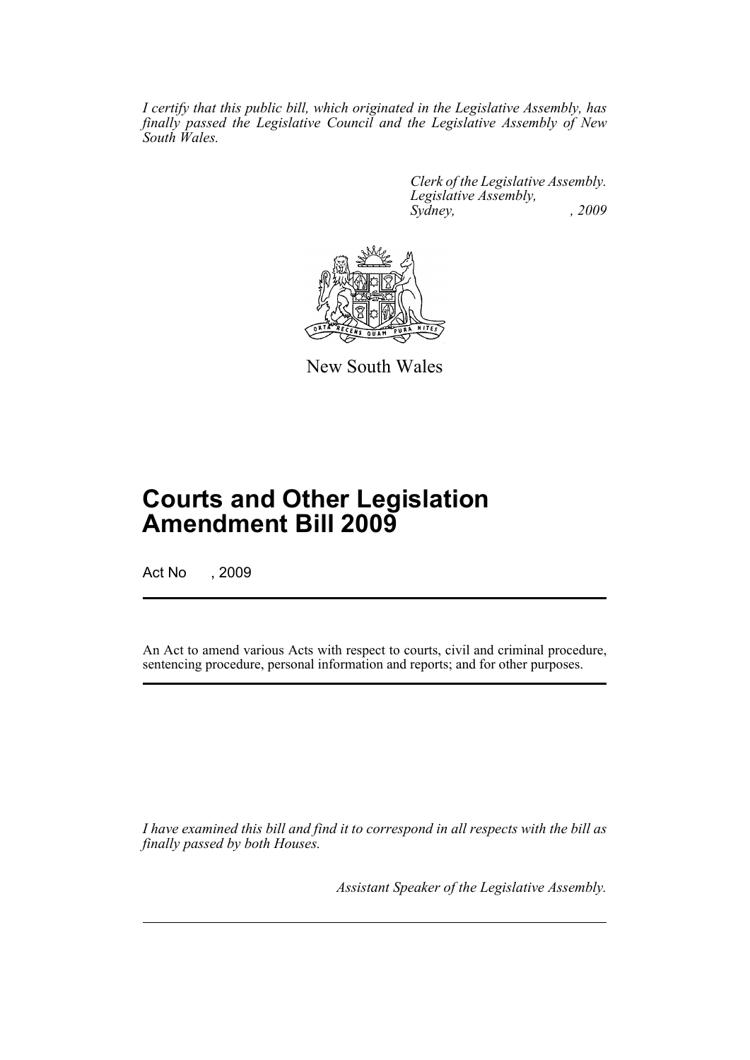*I certify that this public bill, which originated in the Legislative Assembly, has finally passed the Legislative Council and the Legislative Assembly of New South Wales.*

> *Clerk of the Legislative Assembly. Legislative Assembly, Sydney, , 2009*



New South Wales

# **Courts and Other Legislation Amendment Bill 2009**

Act No , 2009

An Act to amend various Acts with respect to courts, civil and criminal procedure, sentencing procedure, personal information and reports; and for other purposes.

*I have examined this bill and find it to correspond in all respects with the bill as finally passed by both Houses.*

*Assistant Speaker of the Legislative Assembly.*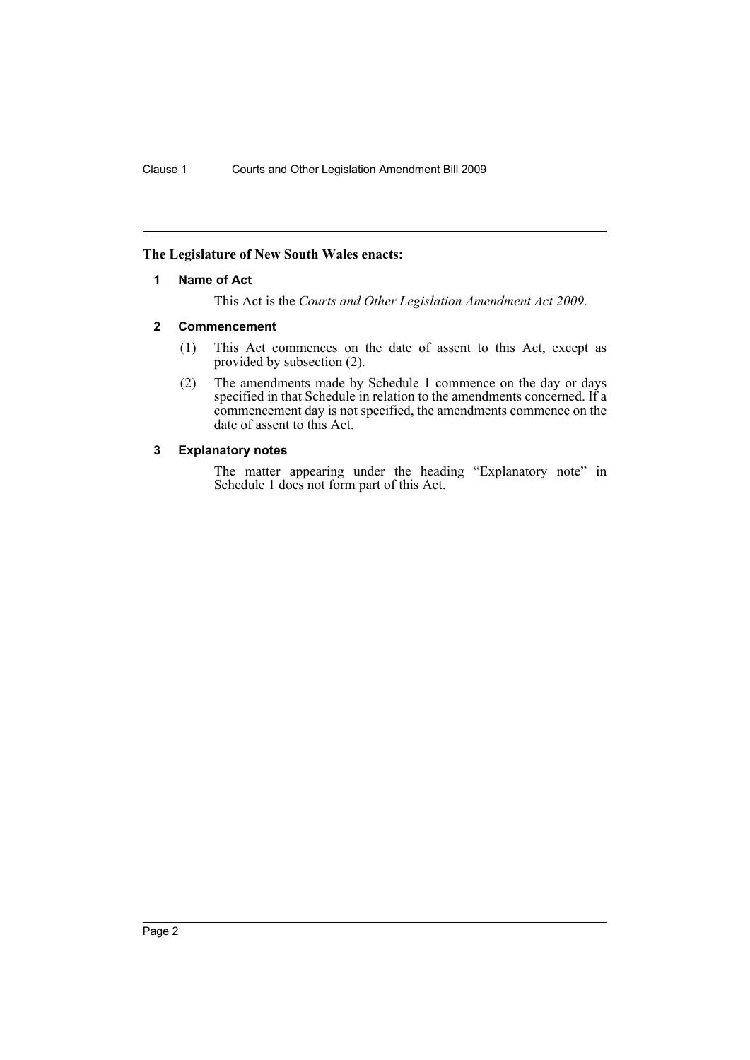# <span id="page-2-0"></span>**The Legislature of New South Wales enacts:**

## **1 Name of Act**

This Act is the *Courts and Other Legislation Amendment Act 2009*.

## <span id="page-2-1"></span>**2 Commencement**

- (1) This Act commences on the date of assent to this Act, except as provided by subsection (2).
- (2) The amendments made by Schedule 1 commence on the day or days specified in that Schedule in relation to the amendments concerned. If a commencement day is not specified, the amendments commence on the date of assent to this Act.

# <span id="page-2-2"></span>**3 Explanatory notes**

The matter appearing under the heading "Explanatory note" in Schedule 1 does not form part of this Act.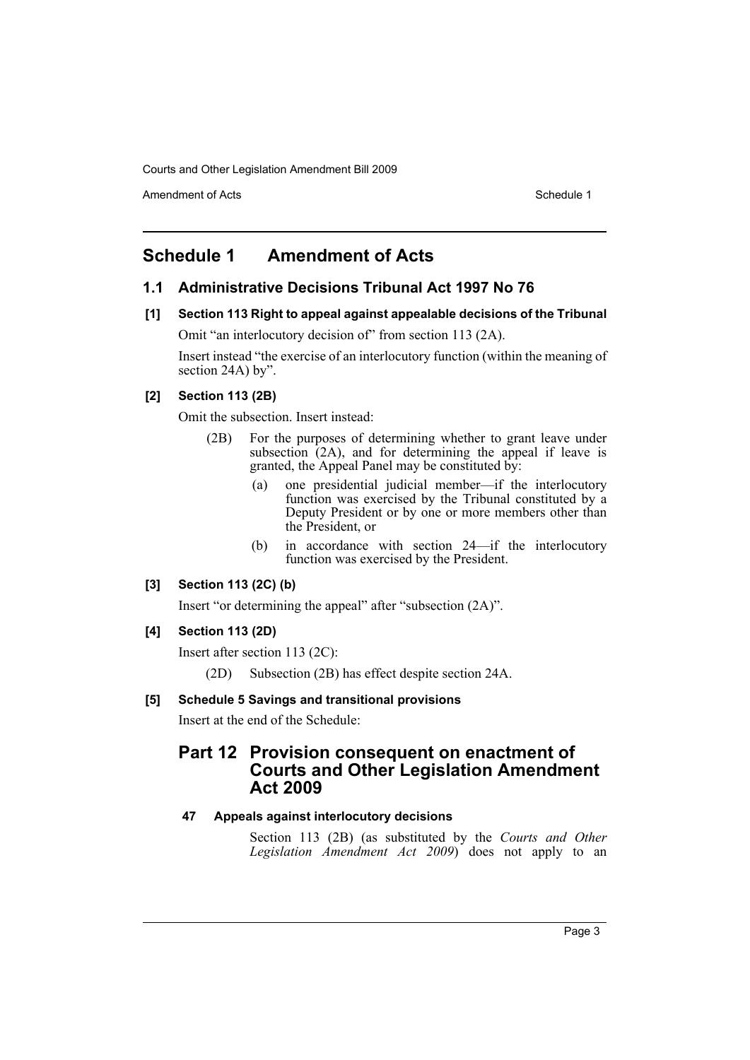Amendment of Acts **Schedule 1** and the set of Acts Schedule 1

# <span id="page-3-0"></span>**Schedule 1 Amendment of Acts**

# **1.1 Administrative Decisions Tribunal Act 1997 No 76**

**[1] Section 113 Right to appeal against appealable decisions of the Tribunal** Omit "an interlocutory decision of" from section 113 (2A).

Insert instead "the exercise of an interlocutory function (within the meaning of section 24A) by".

# **[2] Section 113 (2B)**

Omit the subsection. Insert instead:

- (2B) For the purposes of determining whether to grant leave under subsection (2A), and for determining the appeal if leave is granted, the Appeal Panel may be constituted by:
	- (a) one presidential judicial member—if the interlocutory function was exercised by the Tribunal constituted by a Deputy President or by one or more members other than the President, or
	- (b) in accordance with section 24—if the interlocutory function was exercised by the President.

# **[3] Section 113 (2C) (b)**

Insert "or determining the appeal" after "subsection (2A)".

# **[4] Section 113 (2D)**

Insert after section 113 (2C):

(2D) Subsection (2B) has effect despite section 24A.

## **[5] Schedule 5 Savings and transitional provisions**

Insert at the end of the Schedule:

# **Part 12 Provision consequent on enactment of Courts and Other Legislation Amendment Act 2009**

# **47 Appeals against interlocutory decisions**

Section 113 (2B) (as substituted by the *Courts and Other Legislation Amendment Act 2009*) does not apply to an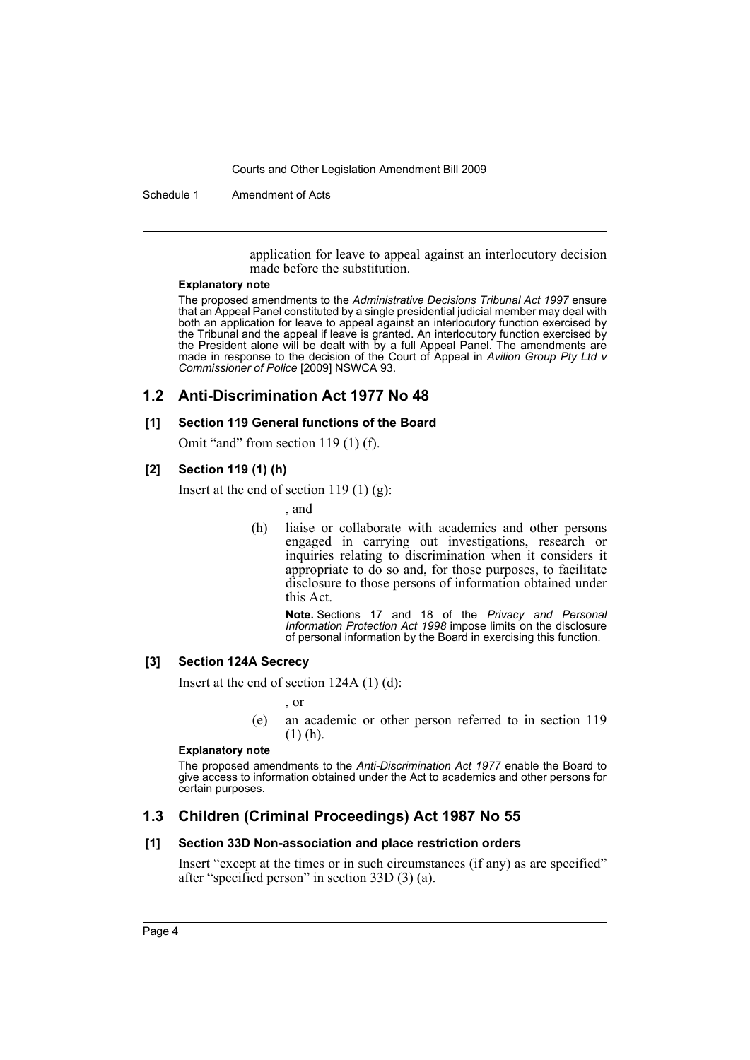Schedule 1 Amendment of Acts

application for leave to appeal against an interlocutory decision made before the substitution.

#### **Explanatory note**

The proposed amendments to the *Administrative Decisions Tribunal Act 1997* ensure that an Appeal Panel constituted by a single presidential judicial member may deal with both an application for leave to appeal against an interlocutory function exercised by the Tribunal and the appeal if leave is granted. An interlocutory function exercised by the President alone will be dealt with by a full Appeal Panel. The amendments are made in response to the decision of the Court of Appeal in *Avilion Group Pty Ltd v Commissioner of Police* [2009] NSWCA 93.

# **1.2 Anti-Discrimination Act 1977 No 48**

## **[1] Section 119 General functions of the Board**

Omit "and" from section 119 (1) (f).

## **[2] Section 119 (1) (h)**

Insert at the end of section 119 $(1)$  $(g)$ :

- , and
- (h) liaise or collaborate with academics and other persons engaged in carrying out investigations, research or inquiries relating to discrimination when it considers it appropriate to do so and, for those purposes, to facilitate disclosure to those persons of information obtained under this Act.

**Note.** Sections 17 and 18 of the *Privacy and Personal Information Protection Act 1998* impose limits on the disclosure of personal information by the Board in exercising this function.

## **[3] Section 124A Secrecy**

Insert at the end of section 124A (1) (d):

, or

(e) an academic or other person referred to in section 119 (1) (h).

#### **Explanatory note**

The proposed amendments to the *Anti-Discrimination Act 1977* enable the Board to give access to information obtained under the Act to academics and other persons for certain purposes.

# **1.3 Children (Criminal Proceedings) Act 1987 No 55**

# **[1] Section 33D Non-association and place restriction orders**

Insert "except at the times or in such circumstances (if any) as are specified" after "specified person" in section 33D (3) (a).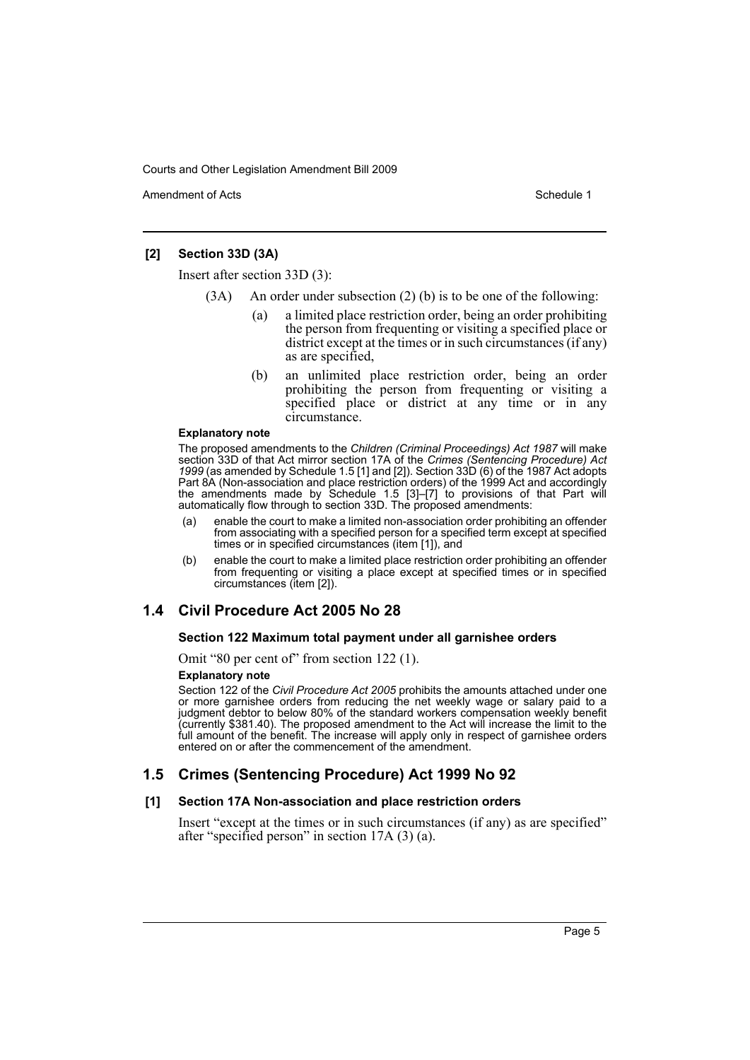Amendment of Acts **Amendment of Acts** Schedule 1

# **[2] Section 33D (3A)**

Insert after section 33D (3):

- (3A) An order under subsection (2) (b) is to be one of the following:
	- (a) a limited place restriction order, being an order prohibiting the person from frequenting or visiting a specified place or district except at the times or in such circumstances (if any) as are specified,
	- (b) an unlimited place restriction order, being an order prohibiting the person from frequenting or visiting a specified place or district at any time or in any circumstance.

#### **Explanatory note**

The proposed amendments to the *Children (Criminal Proceedings) Act 1987* will make section 33D of that Act mirror section 17A of the *Crimes (Sentencing Procedure) Act 1999* (as amended by Schedule 1.5 [1] and [2]). Section 33D (6) of the 1987 Act adopts Part 8A (Non-association and place restriction orders) of the 1999 Act and accordingly the amendments made by Schedule 1.5 [3]–[7] to provisions of that Part will automatically flow through to section 33D. The proposed amendments:

- (a) enable the court to make a limited non-association order prohibiting an offender from associating with a specified person for a specified term except at specified times or in specified circumstances (item [1]), and
- (b) enable the court to make a limited place restriction order prohibiting an offender from frequenting or visiting a place except at specified times or in specified circumstances (item [2]).

# **1.4 Civil Procedure Act 2005 No 28**

## **Section 122 Maximum total payment under all garnishee orders**

Omit "80 per cent of" from section 122 (1).

#### **Explanatory note**

Section 122 of the *Civil Procedure Act 2005* prohibits the amounts attached under one or more garnishee orders from reducing the net weekly wage or salary paid to a judgment debtor to below 80% of the standard workers compensation weekly benefit (currently \$381.40). The proposed amendment to the Act will increase the limit to the full amount of the benefit. The increase will apply only in respect of garnishee orders entered on or after the commencement of the amendment.

# **1.5 Crimes (Sentencing Procedure) Act 1999 No 92**

## **[1] Section 17A Non-association and place restriction orders**

Insert "except at the times or in such circumstances (if any) as are specified" after "specified person" in section 17A (3) (a).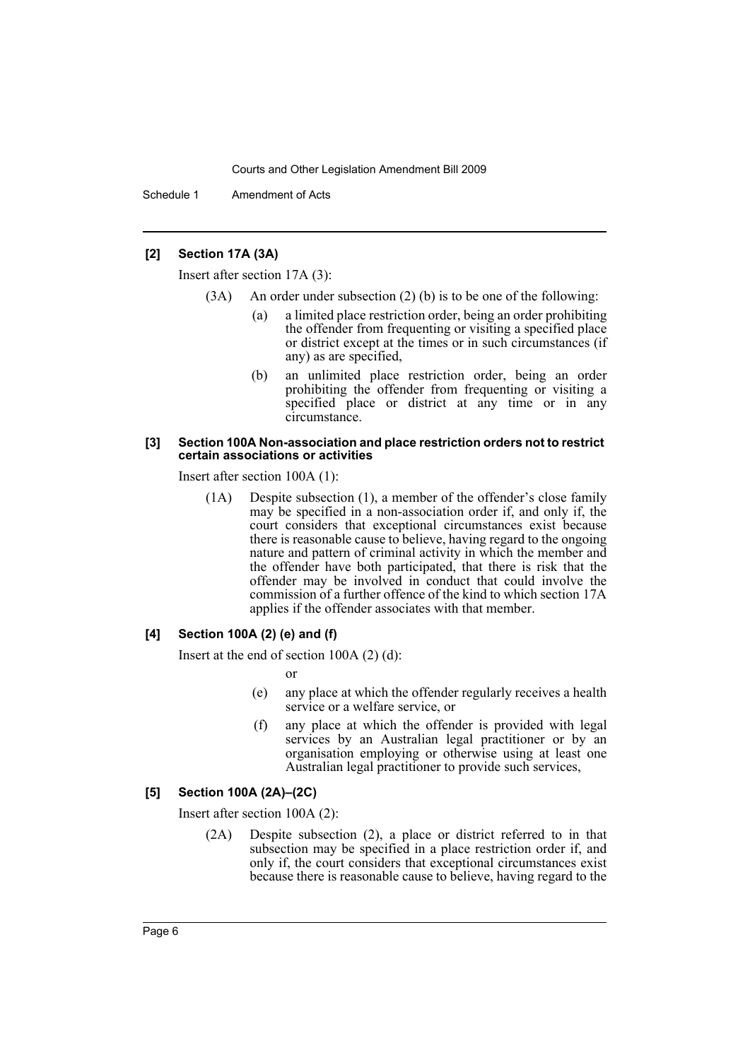Schedule 1 Amendment of Acts

# **[2] Section 17A (3A)**

Insert after section 17A (3):

- (3A) An order under subsection (2) (b) is to be one of the following:
	- (a) a limited place restriction order, being an order prohibiting the offender from frequenting or visiting a specified place or district except at the times or in such circumstances (if any) as are specified,
	- (b) an unlimited place restriction order, being an order prohibiting the offender from frequenting or visiting a specified place or district at any time or in any circumstance.

#### **[3] Section 100A Non-association and place restriction orders not to restrict certain associations or activities**

Insert after section 100A (1):

(1A) Despite subsection (1), a member of the offender's close family may be specified in a non-association order if, and only if, the court considers that exceptional circumstances exist because there is reasonable cause to believe, having regard to the ongoing nature and pattern of criminal activity in which the member and the offender have both participated, that there is risk that the offender may be involved in conduct that could involve the commission of a further offence of the kind to which section 17A applies if the offender associates with that member.

## **[4] Section 100A (2) (e) and (f)**

Insert at the end of section 100A (2) (d):

or

- (e) any place at which the offender regularly receives a health service or a welfare service, or
- (f) any place at which the offender is provided with legal services by an Australian legal practitioner or by an organisation employing or otherwise using at least one Australian legal practitioner to provide such services,

## **[5] Section 100A (2A)–(2C)**

Insert after section 100A (2):

(2A) Despite subsection (2), a place or district referred to in that subsection may be specified in a place restriction order if, and only if, the court considers that exceptional circumstances exist because there is reasonable cause to believe, having regard to the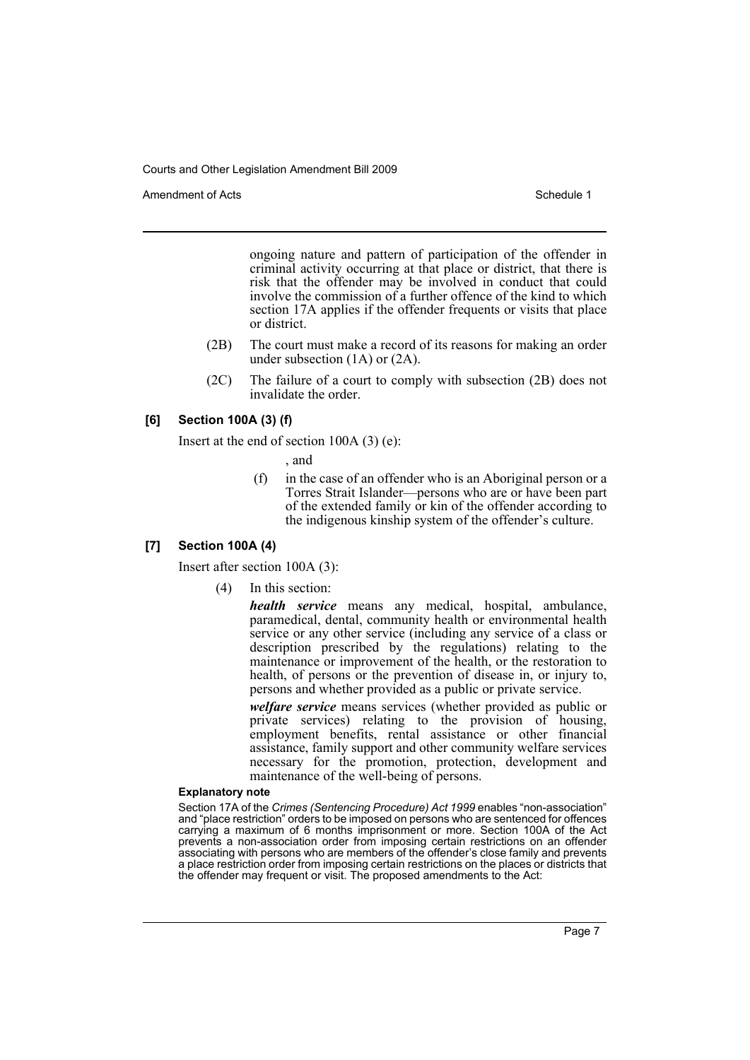Amendment of Acts **Amendment of Acts** Schedule 1

ongoing nature and pattern of participation of the offender in criminal activity occurring at that place or district, that there is risk that the offender may be involved in conduct that could involve the commission of a further offence of the kind to which section 17A applies if the offender frequents or visits that place or district.

- (2B) The court must make a record of its reasons for making an order under subsection (1A) or (2A).
- (2C) The failure of a court to comply with subsection (2B) does not invalidate the order.

# **[6] Section 100A (3) (f)**

Insert at the end of section 100A (3) (e):

, and

(f) in the case of an offender who is an Aboriginal person or a Torres Strait Islander—persons who are or have been part of the extended family or kin of the offender according to the indigenous kinship system of the offender's culture.

## **[7] Section 100A (4)**

Insert after section 100A (3):

(4) In this section:

*health service* means any medical, hospital, ambulance, paramedical, dental, community health or environmental health service or any other service (including any service of a class or description prescribed by the regulations) relating to the maintenance or improvement of the health, or the restoration to health, of persons or the prevention of disease in, or injury to, persons and whether provided as a public or private service.

*welfare service* means services (whether provided as public or private services) relating to the provision of housing, employment benefits, rental assistance or other financial assistance, family support and other community welfare services necessary for the promotion, protection, development and maintenance of the well-being of persons.

#### **Explanatory note**

Section 17A of the *Crimes (Sentencing Procedure) Act 1999* enables "non-association" and "place restriction" orders to be imposed on persons who are sentenced for offences carrying a maximum of 6 months imprisonment or more. Section 100A of the Act prevents a non-association order from imposing certain restrictions on an offender associating with persons who are members of the offender's close family and prevents a place restriction order from imposing certain restrictions on the places or districts that the offender may frequent or visit. The proposed amendments to the Act: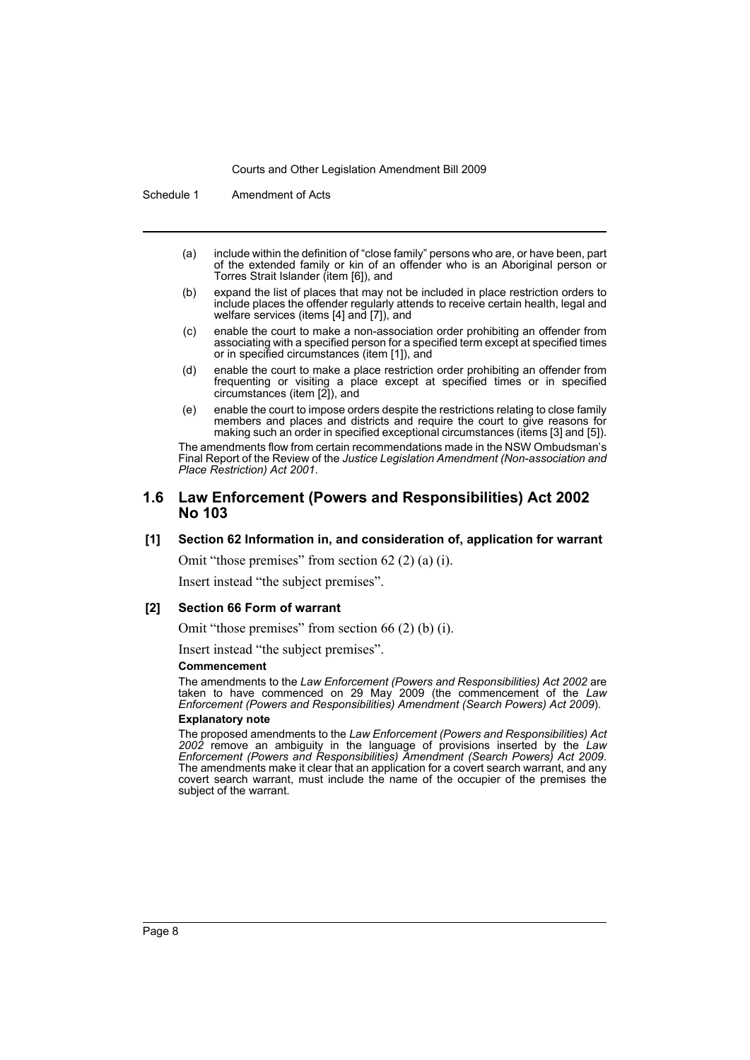Schedule 1 Amendment of Acts

- (a) include within the definition of "close family" persons who are, or have been, part of the extended family or kin of an offender who is an Aboriginal person or Torres Strait Islander (item [6]), and
- (b) expand the list of places that may not be included in place restriction orders to include places the offender regularly attends to receive certain health, legal and welfare services (items [4] and [7]), and
- (c) enable the court to make a non-association order prohibiting an offender from associating with a specified person for a specified term except at specified times or in specified circumstances (item [1]), and
- (d) enable the court to make a place restriction order prohibiting an offender from frequenting or visiting a place except at specified times or in specified circumstances (item [2]), and
- (e) enable the court to impose orders despite the restrictions relating to close family members and places and districts and require the court to give reasons for making such an order in specified exceptional circumstances (items [3] and [5]).

The amendments flow from certain recommendations made in the NSW Ombudsman's Final Report of the Review of the *Justice Legislation Amendment (Non-association and Place Restriction) Act 2001*.

## **1.6 Law Enforcement (Powers and Responsibilities) Act 2002 No 103**

#### **[1] Section 62 Information in, and consideration of, application for warrant**

Omit "those premises" from section 62 (2) (a) (i).

Insert instead "the subject premises".

#### **[2] Section 66 Form of warrant**

Omit "those premises" from section 66 (2) (b) (i).

Insert instead "the subject premises".

#### **Commencement**

The amendments to the *Law Enforcement (Powers and Responsibilities) Act 2002* are taken to have commenced on 29 May 2009 (the commencement of the *Law Enforcement (Powers and Responsibilities) Amendment (Search Powers) Act 2009*).

#### **Explanatory note**

The proposed amendments to the *Law Enforcement (Powers and Responsibilities) Act 2002* remove an ambiguity in the language of provisions inserted by the *Law Enforcement (Powers and Responsibilities) Amendment (Search Powers) Act 2009*. The amendments make it clear that an application for a covert search warrant, and any covert search warrant, must include the name of the occupier of the premises the subject of the warrant.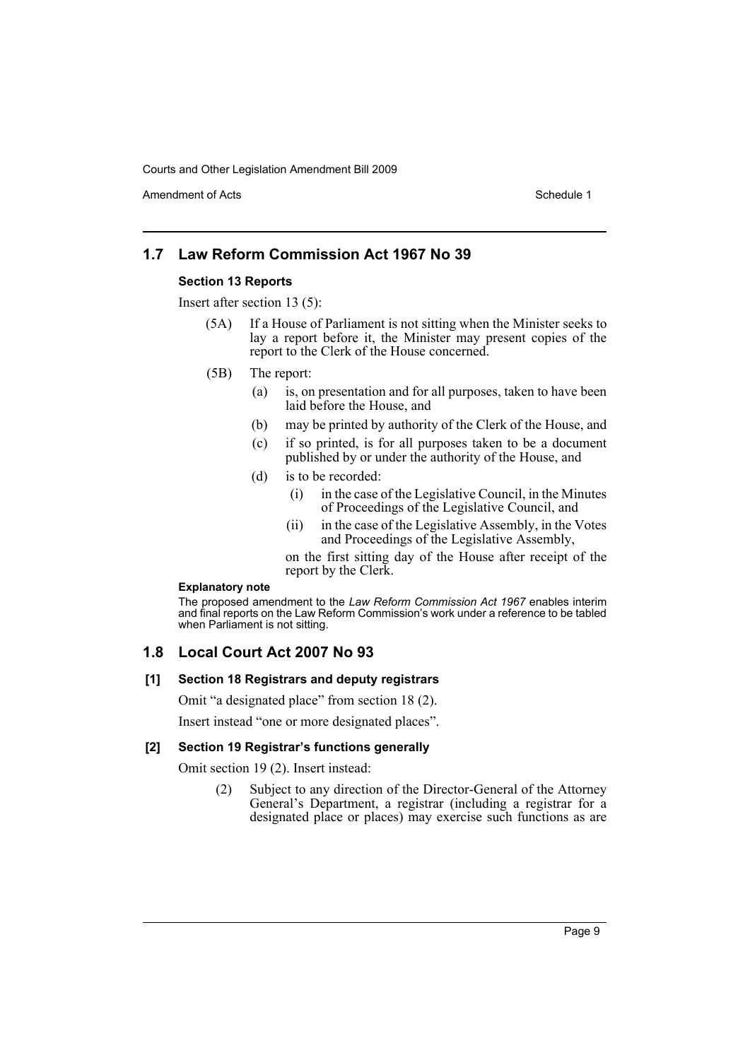Amendment of Acts **Schedule 1** and the set of Acts Schedule 1

# **1.7 Law Reform Commission Act 1967 No 39**

## **Section 13 Reports**

Insert after section 13 (5):

- (5A) If a House of Parliament is not sitting when the Minister seeks to lay a report before it, the Minister may present copies of the report to the Clerk of the House concerned.
- (5B) The report:
	- (a) is, on presentation and for all purposes, taken to have been laid before the House, and
	- (b) may be printed by authority of the Clerk of the House, and
	- (c) if so printed, is for all purposes taken to be a document published by or under the authority of the House, and
	- (d) is to be recorded:
		- (i) in the case of the Legislative Council, in the Minutes of Proceedings of the Legislative Council, and
		- (ii) in the case of the Legislative Assembly, in the Votes and Proceedings of the Legislative Assembly,

on the first sitting day of the House after receipt of the report by the Clerk.

#### **Explanatory note**

The proposed amendment to the *Law Reform Commission Act 1967* enables interim and final reports on the Law Reform Commission's work under a reference to be tabled when Parliament is not sitting.

# **1.8 Local Court Act 2007 No 93**

## **[1] Section 18 Registrars and deputy registrars**

Omit "a designated place" from section 18 (2).

Insert instead "one or more designated places".

## **[2] Section 19 Registrar's functions generally**

Omit section 19 (2). Insert instead:

(2) Subject to any direction of the Director-General of the Attorney General's Department, a registrar (including a registrar for a designated place or places) may exercise such functions as are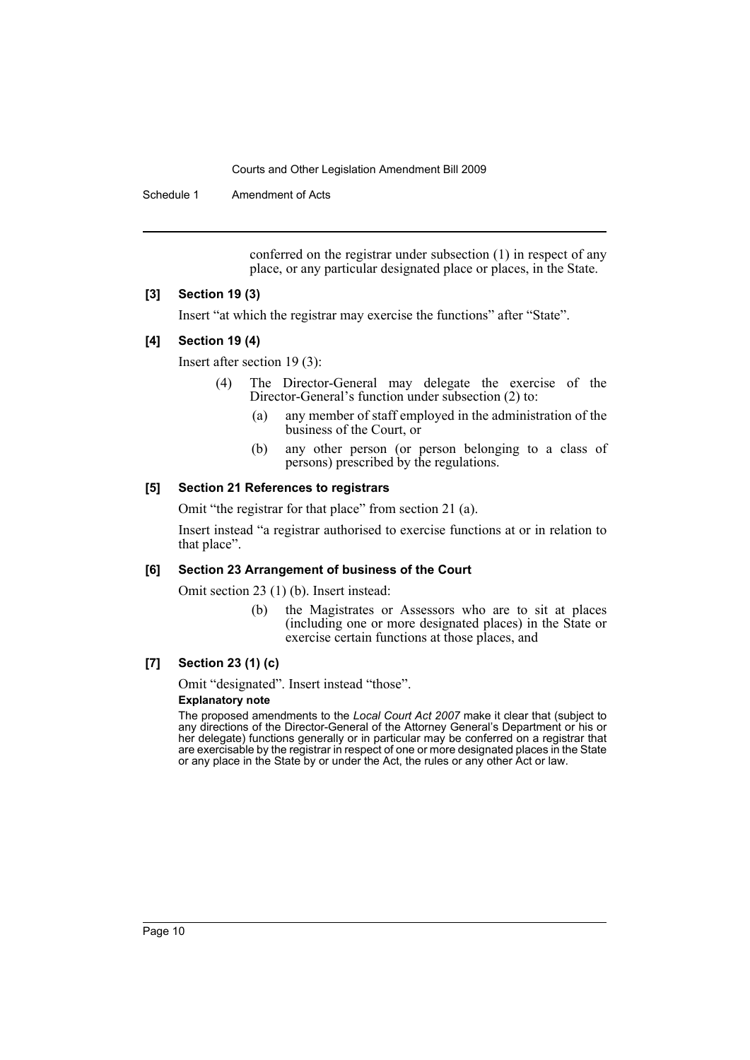Schedule 1 Amendment of Acts

conferred on the registrar under subsection (1) in respect of any place, or any particular designated place or places, in the State.

## **[3] Section 19 (3)**

Insert "at which the registrar may exercise the functions" after "State".

## **[4] Section 19 (4)**

Insert after section 19 (3):

- (4) The Director-General may delegate the exercise of the Director-General's function under subsection (2) to:
	- (a) any member of staff employed in the administration of the business of the Court, or
	- (b) any other person (or person belonging to a class of persons) prescribed by the regulations.

# **[5] Section 21 References to registrars**

Omit "the registrar for that place" from section 21 (a).

Insert instead "a registrar authorised to exercise functions at or in relation to that place".

## **[6] Section 23 Arrangement of business of the Court**

Omit section 23 (1) (b). Insert instead:

(b) the Magistrates or Assessors who are to sit at places (including one or more designated places) in the State or exercise certain functions at those places, and

## **[7] Section 23 (1) (c)**

Omit "designated". Insert instead "those".

### **Explanatory note**

The proposed amendments to the *Local Court Act 2007* make it clear that (subject to any directions of the Director-General of the Attorney General's Department or his or her delegate) functions generally or in particular may be conferred on a registrar that are exercisable by the registrar in respect of one or more designated places in the State or any place in the State by or under the Act, the rules or any other Act or law.